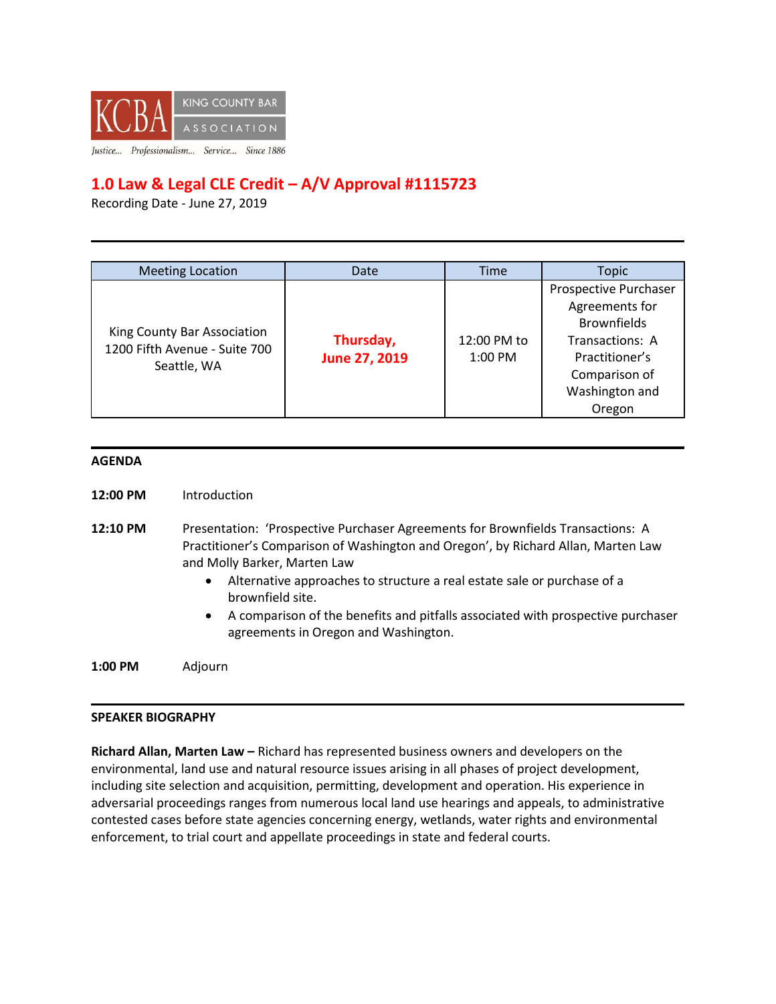

## **1.0 Law & Legal CLE Credit – A/V Approval #1115723**

Recording Date - June 27, 2019

| <b>Meeting Location</b>                                                     | Date                       | Time                     | Topic                                                                                                                                           |
|-----------------------------------------------------------------------------|----------------------------|--------------------------|-------------------------------------------------------------------------------------------------------------------------------------------------|
| King County Bar Association<br>1200 Fifth Avenue - Suite 700<br>Seattle, WA | Thursday,<br>June 27, 2019 | 12:00 PM to<br>$1:00$ PM | Prospective Purchaser<br>Agreements for<br><b>Brownfields</b><br>Transactions: A<br>Practitioner's<br>Comparison of<br>Washington and<br>Oregon |

## **AGENDA**

- **12:00 PM** Introduction
- **12:10 PM** Presentation: 'Prospective Purchaser Agreements for Brownfields Transactions: A Practitioner's Comparison of Washington and Oregon', by Richard Allan, Marten Law and Molly Barker, Marten Law
	- Alternative approaches to structure a real estate sale or purchase of a brownfield site.
	- A comparison of the benefits and pitfalls associated with prospective purchaser agreements in Oregon and Washington.

**1:00 PM** Adjourn

## **SPEAKER BIOGRAPHY**

**Richard Allan, Marten Law –** Richard has represented business owners and developers on the environmental, land use and natural resource issues arising in all phases of project development, including site selection and acquisition, permitting, development and operation. His experience in adversarial proceedings ranges from numerous local land use hearings and appeals, to administrative contested cases before state agencies concerning energy, wetlands, water rights and environmental enforcement, to trial court and appellate proceedings in state and federal courts.